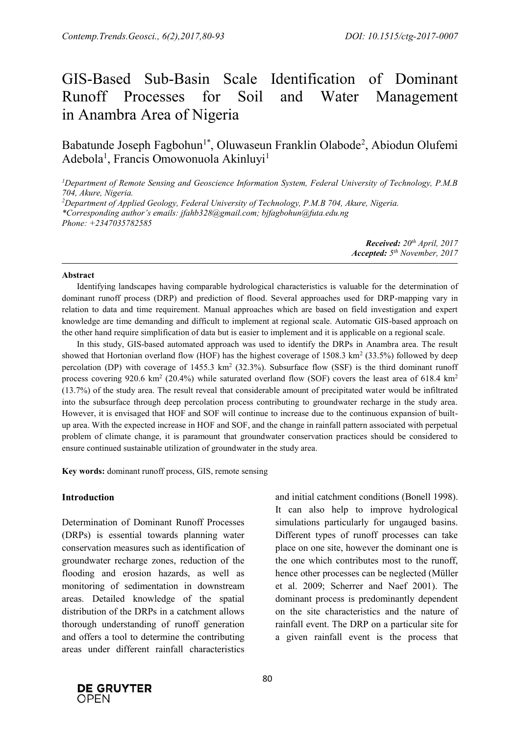# GIS-Based Sub-Basin Scale Identification of Dominant Runoff Processes for Soil and Water Management in Anambra Area of Nigeria

Babatunde Joseph Fagbohun<sup>1\*</sup>, Oluwaseun Franklin Olabode<sup>2</sup>, Abiodun Olufemi Adebola<sup>1</sup>, Francis Omowonuola Akinluyi<sup>1</sup>

*<sup>1</sup>Department of Remote Sensing and Geoscience Information System, Federal University of Technology, P.M.B 704, Akure, Nigeria.*

*<sup>2</sup>Department of Applied Geology, Federal University of Technology, P.M.B 704, Akure, Nigeria. \*Corresponding author's emails: jfahb328@gmail.com; bjfagbohun@futa.edu.ng Phone: +2347035782585*

> *Received: 20 th April, 2017 Accepted: 5 th November, 2017*

#### **Abstract**

Identifying landscapes having comparable hydrological characteristics is valuable for the determination of dominant runoff process (DRP) and prediction of flood. Several approaches used for DRP-mapping vary in relation to data and time requirement. Manual approaches which are based on field investigation and expert knowledge are time demanding and difficult to implement at regional scale. Automatic GIS-based approach on the other hand require simplification of data but is easier to implement and it is applicable on a regional scale.

In this study, GIS-based automated approach was used to identify the DRPs in Anambra area. The result showed that Hortonian overland flow (HOF) has the highest coverage of 1508.3 km<sup>2</sup> (33.5%) followed by deep percolation (DP) with coverage of 1455.3  $km^2$  (32.3%). Subsurface flow (SSF) is the third dominant runoff process covering 920.6 km<sup>2</sup> (20.4%) while saturated overland flow (SOF) covers the least area of 618.4 km<sup>2</sup> (13.7%) of the study area. The result reveal that considerable amount of precipitated water would be infiltrated into the subsurface through deep percolation process contributing to groundwater recharge in the study area. However, it is envisaged that HOF and SOF will continue to increase due to the continuous expansion of builtup area. With the expected increase in HOF and SOF, and the change in rainfall pattern associated with perpetual problem of climate change, it is paramount that groundwater conservation practices should be considered to ensure continued sustainable utilization of groundwater in the study area.

**Key words:** dominant runoff process, GIS, remote sensing

#### **Introduction**

Determination of Dominant Runoff Processes (DRPs) is essential towards planning water conservation measures such as identification of groundwater recharge zones, reduction of the flooding and erosion hazards, as well as monitoring of sedimentation in downstream areas. Detailed knowledge of the spatial distribution of the DRPs in a catchment allows thorough understanding of runoff generation and offers a tool to determine the contributing areas under different rainfall characteristics

and initial catchment conditions (Bonell 1998). It can also help to improve hydrological simulations particularly for ungauged basins. Different types of runoff processes can take place on one site, however the dominant one is the one which contributes most to the runoff, hence other processes can be neglected (Müller et al. 2009; Scherrer and Naef 2001). The dominant process is predominantly dependent on the site characteristics and the nature of rainfall event. The DRP on a particular site for a given rainfall event is the process that

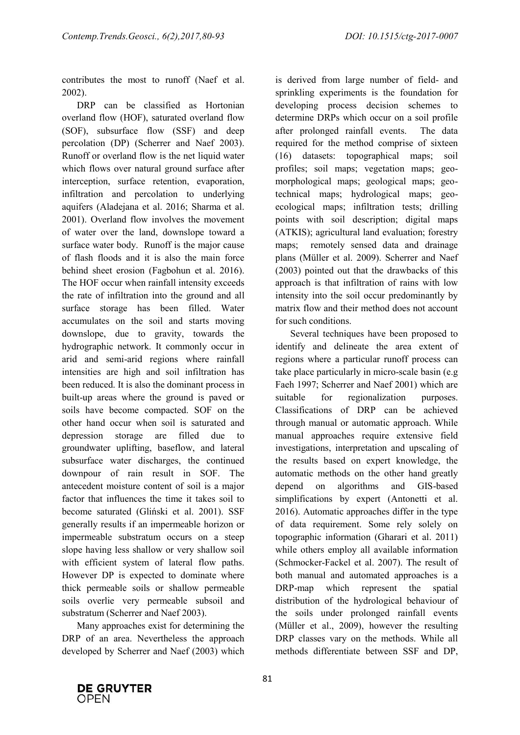contributes the most to runoff (Naef et al. 2002).

DRP can be classified as Hortonian overland flow (HOF), saturated overland flow (SOF), subsurface flow (SSF) and deep percolation (DP) (Scherrer and Naef 2003). Runoff or overland flow is the net liquid water which flows over natural ground surface after interception, surface retention, evaporation, infiltration and percolation to underlying aquifers (Aladejana et al. 2016; Sharma et al. 2001). Overland flow involves the movement of water over the land, downslope toward a surface water body. Runoff is the major cause of flash floods and it is also the main force behind sheet erosion (Fagbohun et al. 2016). The HOF occur when rainfall intensity exceeds the rate of infiltration into the ground and all surface storage has been filled. Water accumulates on the soil and starts moving downslope, due to gravity, towards the hydrographic network. It commonly occur in arid and semi-arid regions where rainfall intensities are high and soil infiltration has been reduced. It is also the dominant process in built-up areas where the ground is paved or soils have become compacted. SOF on the other hand occur when soil is saturated and depression storage are filled due to groundwater uplifting, baseflow, and lateral subsurface water discharges, the continued downpour of rain result in SOF. The antecedent moisture content of soil is a major factor that influences the time it takes soil to become saturated (Gliński et al. 2001). SSF generally results if an impermeable horizon or impermeable substratum occurs on a steep slope having less shallow or very shallow soil with efficient system of lateral flow paths. However DP is expected to dominate where thick permeable soils or shallow permeable soils overlie very permeable subsoil and substratum (Scherrer and Naef 2003).

Many approaches exist for determining the DRP of an area. Nevertheless the approach developed by Scherrer and Naef (2003) which

is derived from large number of field- and sprinkling experiments is the foundation for developing process decision schemes to determine DRPs which occur on a soil profile after prolonged rainfall events. The data required for the method comprise of sixteen (16) datasets: topographical maps; soil profiles; soil maps; vegetation maps; geomorphological maps; geological maps; geotechnical maps; hydrological maps; geoecological maps; infiltration tests; drilling points with soil description; digital maps (ATKIS); agricultural land evaluation; forestry maps; remotely sensed data and drainage plans (Müller et al. 2009). Scherrer and Naef (2003) pointed out that the drawbacks of this approach is that infiltration of rains with low intensity into the soil occur predominantly by matrix flow and their method does not account for such conditions.

Several techniques have been proposed to identify and delineate the area extent of regions where a particular runoff process can take place particularly in micro-scale basin (e.g Faeh 1997; Scherrer and Naef 2001) which are suitable for regionalization purposes. Classifications of DRP can be achieved through manual or automatic approach. While manual approaches require extensive field investigations, interpretation and upscaling of the results based on expert knowledge, the automatic methods on the other hand greatly depend on algorithms and GIS-based simplifications by expert (Antonetti et al. 2016). Automatic approaches differ in the type of data requirement. Some rely solely on topographic information (Gharari et al. 2011) while others employ all available information (Schmocker-Fackel et al. 2007). The result of both manual and automated approaches is a DRP-map which represent the spatial distribution of the hydrological behaviour of the soils under prolonged rainfall events (Müller et al., 2009), however the resulting DRP classes vary on the methods. While all methods differentiate between SSF and DP,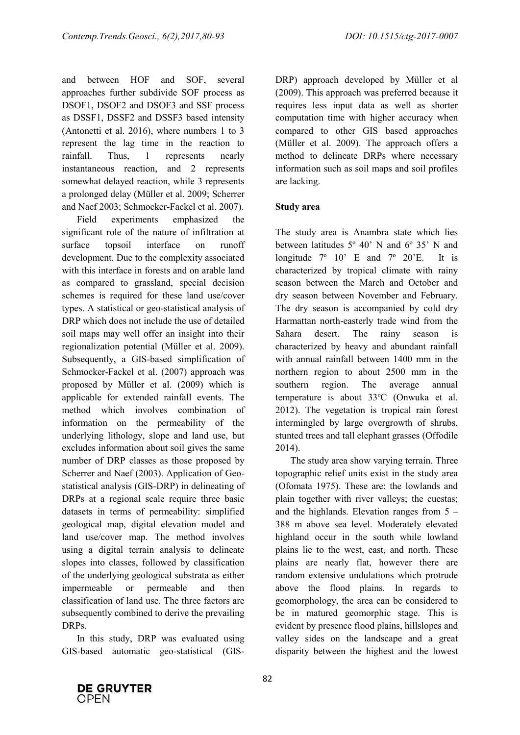and between HOF and SOF, several approaches further subdivide SOF process as DSOF1, DSOF2 and DSOF3 and SSF process as DSSF1, DSSF2 and DSSF3 based intensity (Antonetti et al. 2016), where numbers 1 to 3 represent the lag time in the reaction to rainfall. Thus, 1 represents nearly instantaneous reaction, and 2 represents somewhat delayed reaction, while 3 represents a prolonged delay (Müller et al. 2009; Scherrer and Naef 2003; Schmocker-Fackel et al. 2007).

Field experiments emphasized the significant role of the nature of infiltration at surface topsoil interface on runoff development. Due to the complexity associated with this interface in forests and on arable land as compared to grassland, special decision schemes is required for these land use/cover types. A statistical or geo-statistical analysis of DRP which does not include the use of detailed soil maps may well offer an insight into their regionalization potential (Müller et al. 2009). Subsequently, a GIS-based simplification of Schmocker-Fackel et al. (2007) approach was proposed by Müller et al. (2009) which is applicable for extended rainfall events. The method which involves combination of information on the permeability of the underlying lithology, slope and land use, but excludes information about soil gives the same number of DRP classes as those proposed by Scherrer and Naef (2003). Application of Geostatistical analysis (GIS-DRP) in delineating of DRPs at a regional scale require three basic datasets in terms of permeability: simplified geological map, digital elevation model and land use/cover map. The method involves using a digital terrain analysis to delineate slopes into classes, followed by classification of the underlying geological substrata as either impermeable or permeable and then classification of land use. The three factors are subsequently combined to derive the prevailing DRPs.

In this study, DRP was evaluated using GIS-based automatic geo-statistical (GIS-

DRP) approach developed by Müller et al (2009). This approach was preferred because it requires less input data as well as shorter computation time with higher accuracy when compared to other GIS based approaches (Müller et al. 2009). The approach offers a method to delineate DRPs where necessary information such as soil maps and soil profiles are lacking.

# **Study area**

The study area is Anambra state which lies between latitudes 5º 40' N and 6º 35' N and longitude 7º 10' E and 7º 20'E. It is characterized by tropical climate with rainy season between the March and October and dry season between November and February. The dry season is accompanied by cold dry Harmattan north-easterly trade wind from the Sahara desert. The rainy season is characterized by heavy and abundant rainfall with annual rainfall between 1400 mm in the northern region to about 2500 mm in the southern region. The average annual temperature is about 33ºC (Onwuka et al. 2012). The vegetation is tropical rain forest intermingled by large overgrowth of shrubs, stunted trees and tall elephant grasses (Offodile 2014).

The study area show varying terrain. Three topographic relief units exist in the study area (Ofomata 1975). These are: the lowlands and plain together with river valleys; the cuestas; and the highlands. Elevation ranges from  $5 -$ 388 m above sea level. Moderately elevated highland occur in the south while lowland plains lie to the west, east, and north. These plains are nearly flat, however there are random extensive undulations which protrude above the flood plains. In regards to geomorphology, the area can be considered to be in matured geomorphic stage. This is evident by presence flood plains, hillslopes and valley sides on the landscape and a great disparity between the highest and the lowest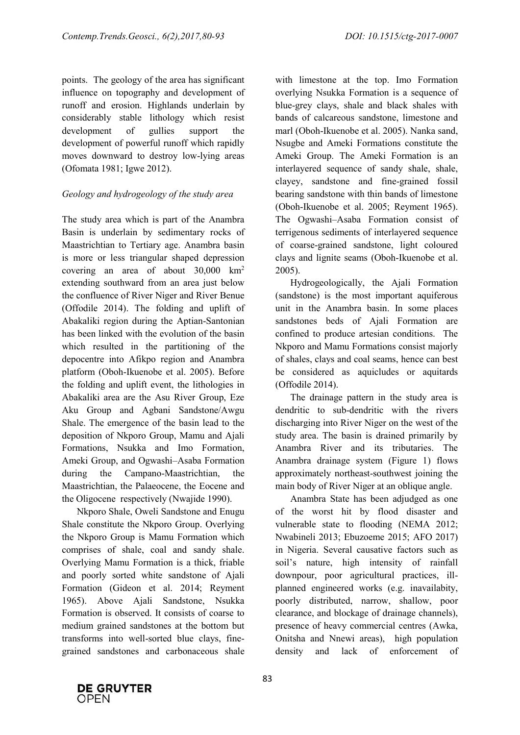points. The geology of the area has significant influence on topography and development of runoff and erosion. Highlands underlain by considerably stable lithology which resist development of gullies support the development of powerful runoff which rapidly moves downward to destroy low-lying areas (Ofomata 1981; Igwe 2012).

# *Geology and hydrogeology of the study area*

The study area which is part of the Anambra Basin is underlain by sedimentary rocks of Maastrichtian to Tertiary age. Anambra basin is more or less triangular shaped depression covering an area of about 30,000 km<sup>2</sup> extending southward from an area just below the confluence of River Niger and River Benue (Offodile 2014). The folding and uplift of Abakaliki region during the Aptian-Santonian has been linked with the evolution of the basin which resulted in the partitioning of the depocentre into Afikpo region and Anambra platform (Oboh-Ikuenobe et al. 2005). Before the folding and uplift event, the lithologies in Abakaliki area are the Asu River Group, Eze Aku Group and Agbani Sandstone/Awgu Shale. The emergence of the basin lead to the deposition of Nkporo Group, Mamu and Ajali Formations, Nsukka and Imo Formation, Ameki Group, and Ogwashi–Asaba Formation during the Campano-Maastrichtian, the Maastrichtian, the Palaeocene, the Eocene and the Oligocene respectively (Nwajide 1990).

Nkporo Shale, Oweli Sandstone and Enugu Shale constitute the Nkporo Group. Overlying the Nkporo Group is Mamu Formation which comprises of shale, coal and sandy shale. Overlying Mamu Formation is a thick, friable and poorly sorted white sandstone of Ajali Formation (Gideon et al. 2014; Reyment 1965). Above Ajali Sandstone, Nsukka Formation is observed. It consists of coarse to medium grained sandstones at the bottom but transforms into well-sorted blue clays, finegrained sandstones and carbonaceous shale with limestone at the top. Imo Formation overlying Nsukka Formation is a sequence of blue-grey clays, shale and black shales with bands of calcareous sandstone, limestone and marl (Oboh-Ikuenobe et al. 2005). Nanka sand, Nsugbe and Ameki Formations constitute the Ameki Group. The Ameki Formation is an interlayered sequence of sandy shale, shale, clayey, sandstone and fine-grained fossil bearing sandstone with thin bands of limestone (Oboh-Ikuenobe et al. 2005; Reyment 1965). The Ogwashi–Asaba Formation consist of terrigenous sediments of interlayered sequence of coarse-grained sandstone, light coloured clays and lignite seams (Oboh-Ikuenobe et al. 2005).

Hydrogeologically, the Ajali Formation (sandstone) is the most important aquiferous unit in the Anambra basin. In some places sandstones beds of Aiali Formation are confined to produce artesian conditions. The Nkporo and Mamu Formations consist majorly of shales, clays and coal seams, hence can best be considered as aquicludes or aquitards (Offodile 2014).

The drainage pattern in the study area is dendritic to sub-dendritic with the rivers discharging into River Niger on the west of the study area. The basin is drained primarily by Anambra River and its tributaries. The Anambra drainage system (Figure 1) flows approximately northeast-southwest joining the main body of River Niger at an oblique angle.

Anambra State has been adjudged as one of the worst hit by flood disaster and vulnerable state to flooding (NEMA 2012; Nwabineli 2013; Ebuzoeme 2015; AFO 2017) in Nigeria. Several causative factors such as soil's nature, high intensity of rainfall downpour, poor agricultural practices, illplanned engineered works (e.g. inavailabity, poorly distributed, narrow, shallow, poor clearance, and blockage of drainage channels), presence of heavy commercial centres (Awka, Onitsha and Nnewi areas), high population density and lack of enforcement of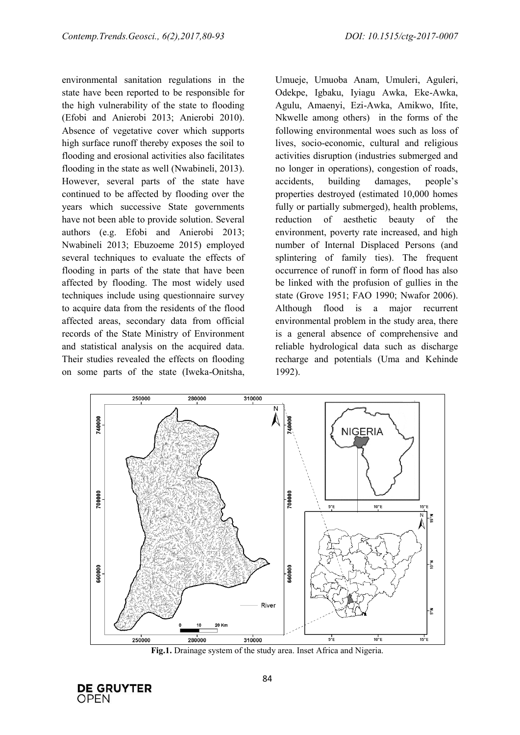environmental sanitation regulations in the state have been reported to be responsible for the high vulnerability of the state to flooding (Efobi and Anierobi 2013; Anierobi 2010). Absence of vegetative cover which supports high surface runoff thereby exposes the soil to flooding and erosional activities also facilitates flooding in the state as well (Nwabineli, 2013). However, several parts of the state have continued to be affected by flooding over the years which successive State governments have not been able to provide solution. Several authors (e.g. Efobi and Anierobi 2013; Nwabineli 2013; Ebuzoeme 2015) employed several techniques to evaluate the effects of flooding in parts of the state that have been affected by flooding. The most widely used techniques include using questionnaire survey to acquire data from the residents of the flood affected areas, secondary data from official records of the State Ministry of Environment and statistical analysis on the acquired data. Their studies revealed the effects on flooding on some parts of the state (Iweka-Onitsha, Umueje, Umuoba Anam, Umuleri, Aguleri, Odekpe, Igbaku, Iyiagu Awka, Eke-Awka, Agulu, Amaenyi, Ezi-Awka, Amikwo, Ifite, Nkwelle among others) in the forms of the following environmental woes such as loss of lives, socio-economic, cultural and religious activities disruption (industries submerged and no longer in operations), congestion of roads, accidents, building damages, people's properties destroyed (estimated 10,000 homes fully or partially submerged), health problems, reduction of aesthetic beauty of the environment, poverty rate increased, and high number of Internal Displaced Persons (and splintering of family ties). The frequent occurrence of runoff in form of flood has also be linked with the profusion of gullies in the state (Grove 1951; FAO 1990; Nwafor 2006). Although flood is a major recurrent environmental problem in the study area, there is a general absence of comprehensive and reliable hydrological data such as discharge recharge and potentials (Uma and Kehinde 1992).



**Fig.1.** Drainage system of the study area. Inset Africa and Nigeria.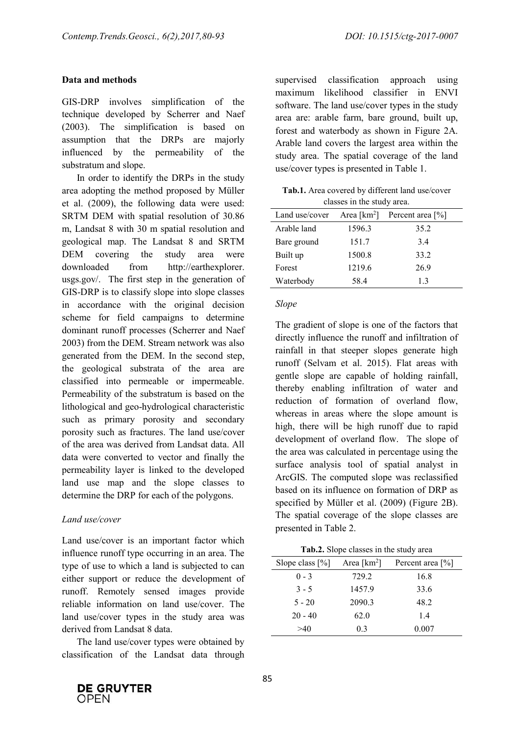# **Data and methods**

GIS-DRP involves simplification of the technique developed by Scherrer and Naef (2003). The simplification is based on assumption that the DRPs are majorly influenced by the permeability of the substratum and slope.

In order to identify the DRPs in the study area adopting the method proposed by Müller et al. (2009), the following data were used: SRTM DEM with spatial resolution of 30.86 m, Landsat 8 with 30 m spatial resolution and geological map. The Landsat 8 and SRTM DEM covering the study area were downloaded from http://earthexplorer. usgs.gov/. The first step in the generation of GIS-DRP is to classify slope into slope classes in accordance with the original decision scheme for field campaigns to determine dominant runoff processes (Scherrer and Naef 2003) from the DEM. Stream network was also generated from the DEM. In the second step, the geological substrata of the area are classified into permeable or impermeable. Permeability of the substratum is based on the lithological and geo-hydrological characteristic such as primary porosity and secondary porosity such as fractures. The land use/cover of the area was derived from Landsat data. All data were converted to vector and finally the permeability layer is linked to the developed land use map and the slope classes to determine the DRP for each of the polygons.

# *Land use/cover*

Land use/cover is an important factor which influence runoff type occurring in an area. The type of use to which a land is subjected to can either support or reduce the development of runoff. Remotely sensed images provide reliable information on land use/cover. The land use/cover types in the study area was derived from Landsat 8 data.

The land use/cover types were obtained by classification of the Landsat data through supervised classification approach using maximum likelihood classifier in ENVI software. The land use/cover types in the study area are: arable farm, bare ground, built up, forest and waterbody as shown in Figure 2A. Arable land covers the largest area within the study area. The spatial coverage of the land use/cover types is presented in Table 1.

**Tab.1.** Area covered by different land use/cover classes in the study area.

| Land use/cover | Area [ $km^2$ ] | Percent area $[\%]$ |  |
|----------------|-----------------|---------------------|--|
| Arable land    | 1596.3          | 35.2                |  |
| Bare ground    | 151.7           | 34                  |  |
| Built up       | 1500.8          | 33.2                |  |
| Forest         | 1219.6          | 26.9                |  |
| Waterbody      | 58.4            | 13                  |  |

## *Slope*

The gradient of slope is one of the factors that directly influence the runoff and infiltration of rainfall in that steeper slopes generate high runoff (Selvam et al. 2015). Flat areas with gentle slope are capable of holding rainfall, thereby enabling infiltration of water and reduction of formation of overland flow, whereas in areas where the slope amount is high, there will be high runoff due to rapid development of overland flow. The slope of the area was calculated in percentage using the surface analysis tool of spatial analyst in ArcGIS. The computed slope was reclassified based on its influence on formation of DRP as specified by Müller et al. (2009) (Figure 2B). The spatial coverage of the slope classes are presented in Table 2.

| Tab.2. Slope classes in the study area |  |  |  |  |  |
|----------------------------------------|--|--|--|--|--|
|----------------------------------------|--|--|--|--|--|

| Area [ $km^2$ ] | Percent area [%] |
|-----------------|------------------|
| 729.2           | 16.8             |
| 1457.9          | 33.6             |
| 2090.3          | 48.2             |
| 62.0            | 1.4              |
| 0.3             | 0.007            |
|                 |                  |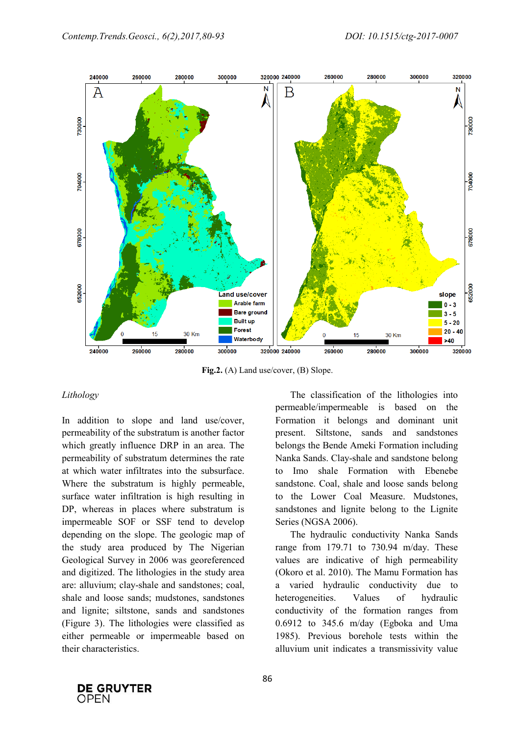

**Fig.2.** (A) Land use/cover, (B) Slope.

### *Lithology*

In addition to slope and land use/cover, permeability of the substratum is another factor which greatly influence DRP in an area. The permeability of substratum determines the rate at which water infiltrates into the subsurface. Where the substratum is highly permeable, surface water infiltration is high resulting in DP, whereas in places where substratum is impermeable SOF or SSF tend to develop depending on the slope. The geologic map of the study area produced by The Nigerian Geological Survey in 2006 was georeferenced and digitized. The lithologies in the study area are: alluvium; clay-shale and sandstones; coal, shale and loose sands; mudstones, sandstones and lignite; siltstone, sands and sandstones (Figure 3). The lithologies were classified as either permeable or impermeable based on their characteristics.

The classification of the lithologies into permeable/impermeable is based on the Formation it belongs and dominant unit present. Siltstone, sands and sandstones belongs the Bende Ameki Formation including Nanka Sands. Clay-shale and sandstone belong to Imo shale Formation with Ebenebe sandstone. Coal, shale and loose sands belong to the Lower Coal Measure. Mudstones, sandstones and lignite belong to the Lignite Series (NGSA 2006).

The hydraulic conductivity Nanka Sands range from 179.71 to 730.94 m/day. These values are indicative of high permeability (Okoro et al. 2010). The Mamu Formation has a varied hydraulic conductivity due to heterogeneities. Values of hydraulic conductivity of the formation ranges from 0.6912 to 345.6 m/day (Egboka and Uma 1985). Previous borehole tests within the alluvium unit indicates a transmissivity value

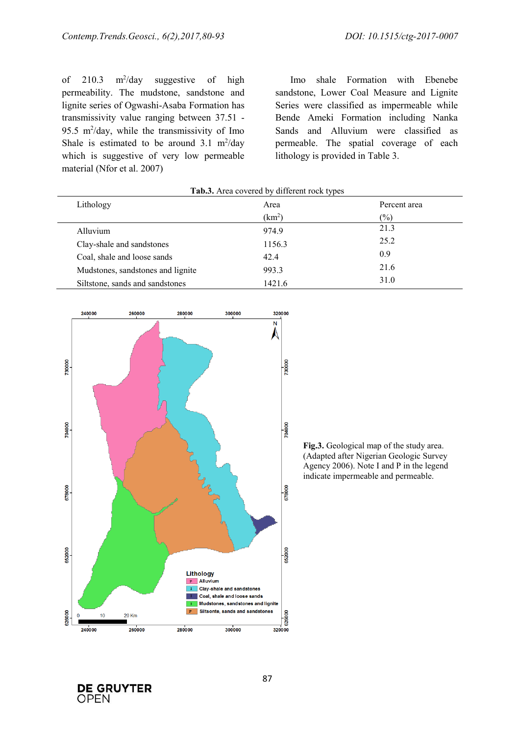of  $210.3$  m<sup>2</sup>/day suggestive of high permeability. The mudstone, sandstone and lignite series of Ogwashi-Asaba Formation has transmissivity value ranging between 37.51 - 95.5  $m^2$ /day, while the transmissivity of Imo Shale is estimated to be around  $3.1 \text{ m}^2/\text{day}$ which is suggestive of very low permeable material (Nfor et al. 2007)

Imo shale Formation with Ebenebe sandstone, Lower Coal Measure and Lignite Series were classified as impermeable while Bende Ameki Formation including Nanka Sands and Alluvium were classified as permeable. The spatial coverage of each lithology is provided in Table 3.

| Lithology                         | Area               | Percent area  |
|-----------------------------------|--------------------|---------------|
|                                   | (km <sup>2</sup> ) | $\frac{6}{2}$ |
| Alluvium                          | 974.9              | 21.3          |
| Clay-shale and sandstones         | 1156.3             | 25.2          |
| Coal, shale and loose sands       | 42.4               | 0.9           |
| Mudstones, sandstones and lignite | 993.3              | 21.6          |
| Siltstone, sands and sandstones   | 1421.6             | 31.0          |



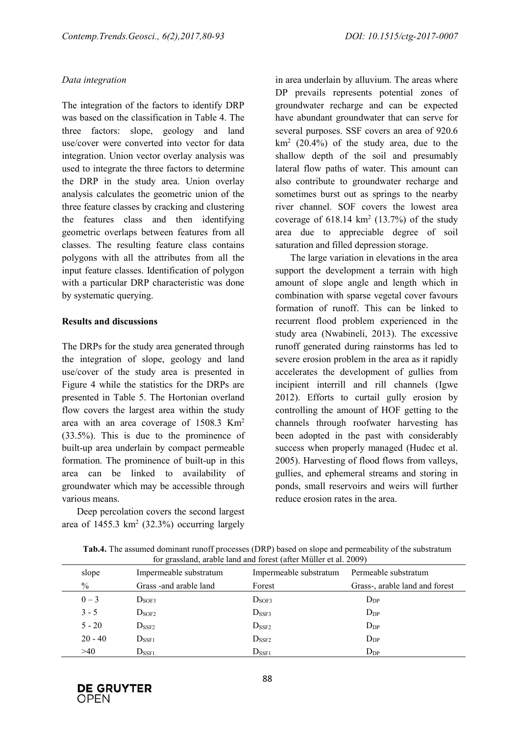# *Data integration*

The integration of the factors to identify DRP was based on the classification in Table 4. The three factors: slope, geology and land use/cover were converted into vector for data integration. Union vector overlay analysis was used to integrate the three factors to determine the DRP in the study area. Union overlay analysis calculates the geometric union of the three feature classes by cracking and clustering the features class and then identifying geometric overlaps between features from all classes. The resulting feature class contains polygons with all the attributes from all the input feature classes. Identification of polygon with a particular DRP characteristic was done by systematic querying.

# **Results and discussions**

The DRPs for the study area generated through the integration of slope, geology and land use/cover of the study area is presented in Figure 4 while the statistics for the DRPs are presented in Table 5. The Hortonian overland flow covers the largest area within the study area with an area coverage of 1508.3 Km<sup>2</sup> (33.5%). This is due to the prominence of built-up area underlain by compact permeable formation. The prominence of built-up in this area can be linked to availability of groundwater which may be accessible through various means.

Deep percolation covers the second largest area of  $1455.3 \text{ km}^2$  (32.3%) occurring largely in area underlain by alluvium. The areas where DP prevails represents potential zones of groundwater recharge and can be expected have abundant groundwater that can serve for several purposes. SSF covers an area of 920.6  $km<sup>2</sup>$  (20.4%) of the study area, due to the shallow depth of the soil and presumably lateral flow paths of water. This amount can also contribute to groundwater recharge and sometimes burst out as springs to the nearby river channel. SOF covers the lowest area coverage of  $618.14 \text{ km}^2$   $(13.7%)$  of the study area due to appreciable degree of soil saturation and filled depression storage.

The large variation in elevations in the area support the development a terrain with high amount of slope angle and length which in combination with sparse vegetal cover favours formation of runoff. This can be linked to recurrent flood problem experienced in the study area (Nwabineli, 2013). The excessive runoff generated during rainstorms has led to severe erosion problem in the area as it rapidly accelerates the development of gullies from incipient interrill and rill channels (Igwe 2012). Efforts to curtail gully erosion by controlling the amount of HOF getting to the channels through roofwater harvesting has been adopted in the past with considerably success when properly managed (Hudec et al. 2005). Harvesting of flood flows from valleys, gullies, and ephemeral streams and storing in ponds, small reservoirs and weirs will further reduce erosion rates in the area.

| slope         | Impermeable substratum  | Impermeable substratum | Permeable substratum           |
|---------------|-------------------------|------------------------|--------------------------------|
| $\frac{0}{0}$ | Grass - and arable land | Forest                 | Grass-, arable land and forest |
| $0 - 3$       | D <sub>SOF3</sub>       | D <sub>SOF3</sub>      | $D_{DP}$                       |
| $3 - 5$       | $D_{SOF2}$              | $D_{\rm SSF3}$         | $D_{DP}$                       |
| $5 - 20$      | $D_{\rm{SSF2}}$         | $D_{\rm{SSF2}}$        | $D_{DP}$                       |
| $20 - 40$     | $D_{\rm SSF1}$          | $D_{\rm{SSF2}}$        | $D_{DP}$                       |
| >40           | $D_{\rm SSF1}$          | $D_{\rm SSF1}$         | $D_{DP}$                       |

**Tab.4.** The assumed dominant runoff processes (DRP) based on slope and permeability of the substratum for grassland, arable land and forest (after Müller et al. 2009)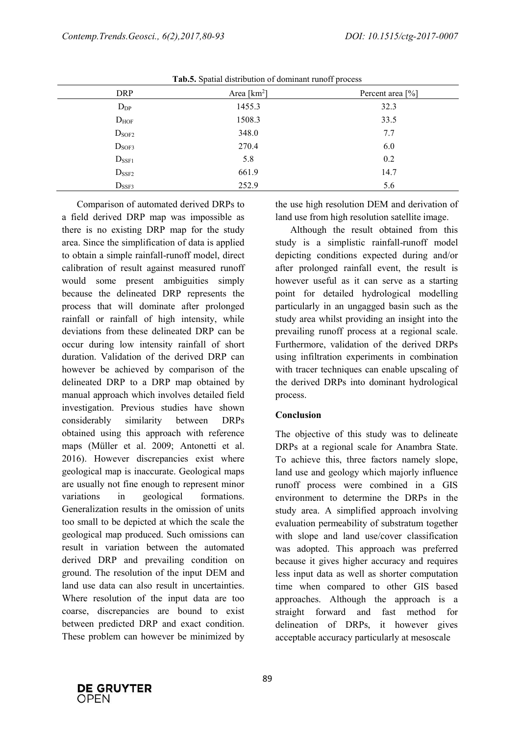|                   | $\overline{\phantom{a}}$ | $\overline{\phantom{a}}$       |
|-------------------|--------------------------|--------------------------------|
| <b>DRP</b>        | Area [ $km^2$ ]          | Percent area $\lceil\% \rceil$ |
| $D_{DP}$          | 1455.3                   | 32.3                           |
| $D_{HOF}$         | 1508.3                   | 33.5                           |
| D <sub>SOF2</sub> | 348.0                    | 7.7                            |
| $D_{SOF3}$        | 270.4                    | 6.0                            |
| $D_{\text{SSF1}}$ | 5.8                      | 0.2                            |
| $D_{\rm{SSF2}}$   | 661.9                    | 14.7                           |
| $D_{\text{SSF3}}$ | 252.9                    | 5.6                            |

Tab.5. Spatial distribution of dominant runoff process

Comparison of automated derived DRPs to a field derived DRP map was impossible as there is no existing DRP map for the study area. Since the simplification of data is applied to obtain a simple rainfall-runoff model, direct calibration of result against measured runoff would some present ambiguities simply because the delineated DRP represents the process that will dominate after prolonged rainfall or rainfall of high intensity, while deviations from these delineated DRP can be occur during low intensity rainfall of short duration. Validation of the derived DRP can however be achieved by comparison of the delineated DRP to a DRP map obtained by manual approach which involves detailed field investigation. Previous studies have shown considerably similarity between DRPs obtained using this approach with reference maps (Müller et al. 2009; Antonetti et al. 2016). However discrepancies exist where geological map is inaccurate. Geological maps are usually not fine enough to represent minor variations in geological formations. Generalization results in the omission of units too small to be depicted at which the scale the geological map produced. Such omissions can result in variation between the automated derived DRP and prevailing condition on ground. The resolution of the input DEM and land use data can also result in uncertainties. Where resolution of the input data are too coarse, discrepancies are bound to exist between predicted DRP and exact condition. These problem can however be minimized by the use high resolution DEM and derivation of land use from high resolution satellite image.

Although the result obtained from this study is a simplistic rainfall-runoff model depicting conditions expected during and/or after prolonged rainfall event, the result is however useful as it can serve as a starting point for detailed hydrological modelling particularly in an ungagged basin such as the study area whilst providing an insight into the prevailing runoff process at a regional scale. Furthermore, validation of the derived DRPs using infiltration experiments in combination with tracer techniques can enable upscaling of the derived DRPs into dominant hydrological process.

## **Conclusion**

The objective of this study was to delineate DRPs at a regional scale for Anambra State. To achieve this, three factors namely slope, land use and geology which majorly influence runoff process were combined in a GIS environment to determine the DRPs in the study area. A simplified approach involving evaluation permeability of substratum together with slope and land use/cover classification was adopted. This approach was preferred because it gives higher accuracy and requires less input data as well as shorter computation time when compared to other GIS based approaches. Although the approach is a straight forward and fast method for delineation of DRPs, it however gives acceptable accuracy particularly at mesoscale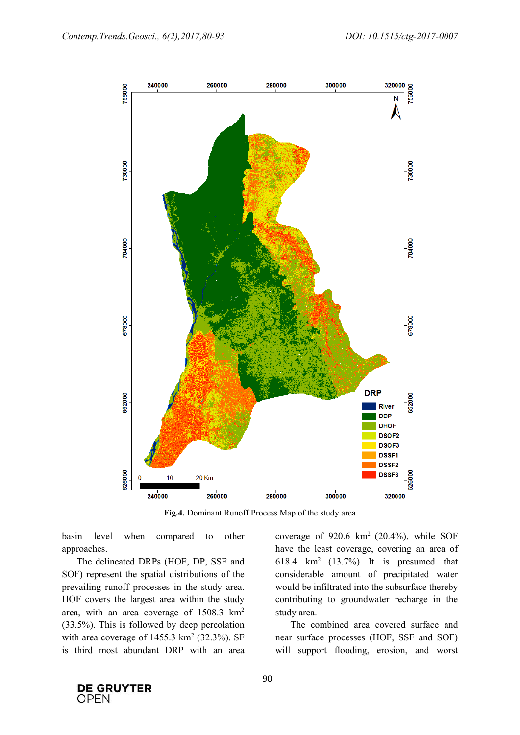

**Fig.4.** Dominant Runoff Process Map of the study area

basin level when compared to other approaches.

The delineated DRPs (HOF, DP, SSF and SOF) represent the spatial distributions of the prevailing runoff processes in the study area. HOF covers the largest area within the study area, with an area coverage of 1508.3 km<sup>2</sup> (33.5%). This is followed by deep percolation with area coverage of  $1455.3 \text{ km}^2$  (32.3%). SF is third most abundant DRP with an area

coverage of  $920.6 \text{ km}^2$  (20.4%), while SOF have the least coverage, covering an area of 618.4 km<sup>2</sup> (13.7%) It is presumed that considerable amount of precipitated water would be infiltrated into the subsurface thereby contributing to groundwater recharge in the study area.

The combined area covered surface and near surface processes (HOF, SSF and SOF) will support flooding, erosion, and worst

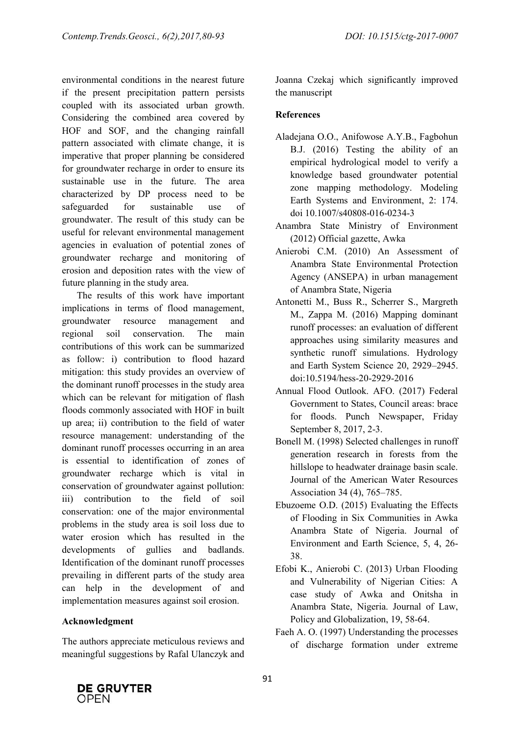environmental conditions in the nearest future if the present precipitation pattern persists coupled with its associated urban growth. Considering the combined area covered by HOF and SOF, and the changing rainfall pattern associated with climate change, it is imperative that proper planning be considered for groundwater recharge in order to ensure its sustainable use in the future. The area characterized by DP process need to be safeguarded for sustainable use of groundwater. The result of this study can be useful for relevant environmental management agencies in evaluation of potential zones of groundwater recharge and monitoring of erosion and deposition rates with the view of future planning in the study area.

The results of this work have important implications in terms of flood management, groundwater resource management and regional soil conservation. The main contributions of this work can be summarized as follow: i) contribution to flood hazard mitigation: this study provides an overview of the dominant runoff processes in the study area which can be relevant for mitigation of flash floods commonly associated with HOF in built up area; ii) contribution to the field of water resource management: understanding of the dominant runoff processes occurring in an area is essential to identification of zones of groundwater recharge which is vital in conservation of groundwater against pollution: iii) contribution to the field of soil conservation: one of the major environmental problems in the study area is soil loss due to water erosion which has resulted in the developments of gullies and badlands. Identification of the dominant runoff processes prevailing in different parts of the study area can help in the development of and implementation measures against soil erosion.

# **Acknowledgment**

The authors appreciate meticulous reviews and meaningful suggestions by Rafal Ulanczyk and Joanna Czekaj which significantly improved the manuscript

# **References**

- Aladejana O.O., Anifowose A.Y.B., Fagbohun B.J. (2016) Testing the ability of an empirical hydrological model to verify a knowledge based groundwater potential zone mapping methodology. Modeling Earth Systems and Environment, 2: 174. doi 10.1007/s40808-016-0234-3
- Anambra State Ministry of Environment (2012) Official gazette, Awka
- Anierobi C.M. (2010) An Assessment of Anambra State Environmental Protection Agency (ANSEPA) in urban management of Anambra State, Nigeria
- Antonetti M., Buss R., Scherrer S., Margreth M., Zappa M. (2016) Mapping dominant runoff processes: an evaluation of different approaches using similarity measures and synthetic runoff simulations. Hydrology and Earth System Science 20, 2929–2945. doi:10.5194/hess-20-2929-2016
- Annual Flood Outlook. AFO. (2017) Federal Government to States, Council areas: brace for floods. Punch Newspaper, Friday September 8, 2017, 2-3.
- Bonell M. (1998) Selected challenges in runoff generation research in forests from the hillslope to headwater drainage basin scale. Journal of the American Water Resources Association 34 (4), 765–785.
- Ebuzoeme O.D. (2015) Evaluating the Effects of Flooding in Six Communities in Awka Anambra State of Nigeria. Journal of Environment and Earth Science, 5, 4, 26- 38.
- Efobi K., Anierobi C. (2013) Urban Flooding and Vulnerability of Nigerian Cities: A case study of Awka and Onitsha in Anambra State, Nigeria. Journal of Law, Policy and Globalization, 19, 58-64.
- Faeh A. O. (1997) Understanding the processes of discharge formation under extreme

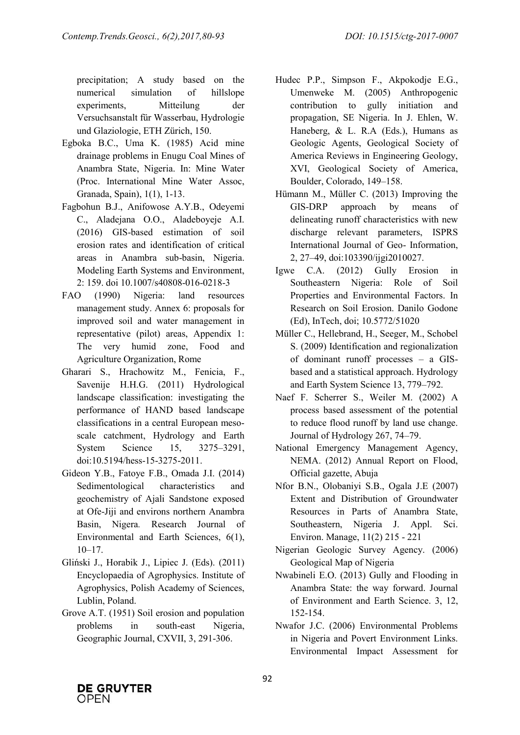precipitation; A study based on the numerical simulation of hillslope experiments, Mitteilung der Versuchsanstalt für Wasserbau, Hydrologie und Glaziologie, ETH Zürich, 150.

- Egboka B.C., Uma K. (1985) Acid mine drainage problems in Enugu Coal Mines of Anambra State, Nigeria. In: Mine Water (Proc. International Mine Water Assoc, Granada, Spain), 1(1), 1-13.
- Fagbohun B.J., Anifowose A.Y.B., Odeyemi C., Aladejana O.O., Aladeboyeje A.I. (2016) GIS-based estimation of soil erosion rates and identification of critical areas in Anambra sub-basin, Nigeria. Modeling Earth Systems and Environment, 2: 159. doi 10.1007/s40808-016-0218-3
- FAO (1990) Nigeria: land resources management study. Annex 6: proposals for improved soil and water management in representative (pilot) areas, Appendix 1: The very humid zone, Food and Agriculture Organization, Rome
- Gharari S., Hrachowitz M., Fenicia, F., Savenije H.H.G. (2011) Hydrological landscape classification: investigating the performance of HAND based landscape classifications in a central European mesoscale catchment, Hydrology and Earth System Science 15, 3275–3291, doi:10.5194/hess-15-3275-2011.
- Gideon Y.B., Fatoye F.B., Omada J.I. (2014) Sedimentological characteristics and geochemistry of Ajali Sandstone exposed at Ofe-Jiji and environs northern Anambra Basin, Nigera*.* Research Journal of Environmental and Earth Sciences, 6(1),  $10-17$ .
- Gliński J., Horabik J., Lipiec J. (Eds). (2011) Encyclopaedia of Agrophysics. Institute of Agrophysics, Polish Academy of Sciences, Lublin, Poland.
- Grove A.T. (1951) Soil erosion and population problems in south-east Nigeria, Geographic Journal, CXVII, 3, 291-306.
- Hudec P.P., Simpson F., Akpokodje E.G., Umenweke M. (2005) Anthropogenic contribution to gully initiation and propagation, SE Nigeria. In J. Ehlen, W. Haneberg, & L. R.A (Eds.), Humans as Geologic Agents, Geological Society of America Reviews in Engineering Geology, XVI, Geological Society of America, Boulder, Colorado, 149–158.
- Hümann M., Müller C. (2013) Improving the GIS-DRP approach by means of delineating runoff characteristics with new discharge relevant parameters, ISPRS International Journal of Geo- Information, 2, 27–49, doi:103390/ijgi2010027.
- Igwe C.A. (2012) Gully Erosion in Southeastern Nigeria: Role of Soil Properties and Environmental Factors. In Research on Soil Erosion. Danilo Godone (Ed), InTech, doi; 10.5772/51020
- Müller C., Hellebrand, H., Seeger, M., Schobel S. (2009) Identification and regionalization of dominant runoff processes – a GISbased and a statistical approach. Hydrology and Earth System Science 13, 779–792.
- Naef F. Scherrer S., Weiler M. (2002) A process based assessment of the potential to reduce flood runoff by land use change. Journal of Hydrology 267, 74–79.
- National Emergency Management Agency, NEMA. (2012) Annual Report on Flood, Official gazette, Abuja
- Nfor B.N., Olobaniyi S.B., Ogala J.E (2007) Extent and Distribution of Groundwater Resources in Parts of Anambra State, Southeastern, Nigeria J. Appl. Sci. Environ. Manage, 11(2) 215 - 221
- Nigerian Geologic Survey Agency. (2006) Geological Map of Nigeria
- Nwabineli E.O. (2013) Gully and Flooding in Anambra State: the way forward. Journal of Environment and Earth Science. 3, 12, 152-154.
- Nwafor J.C. (2006) Environmental Problems in Nigeria and Povert Environment Links. Environmental Impact Assessment for